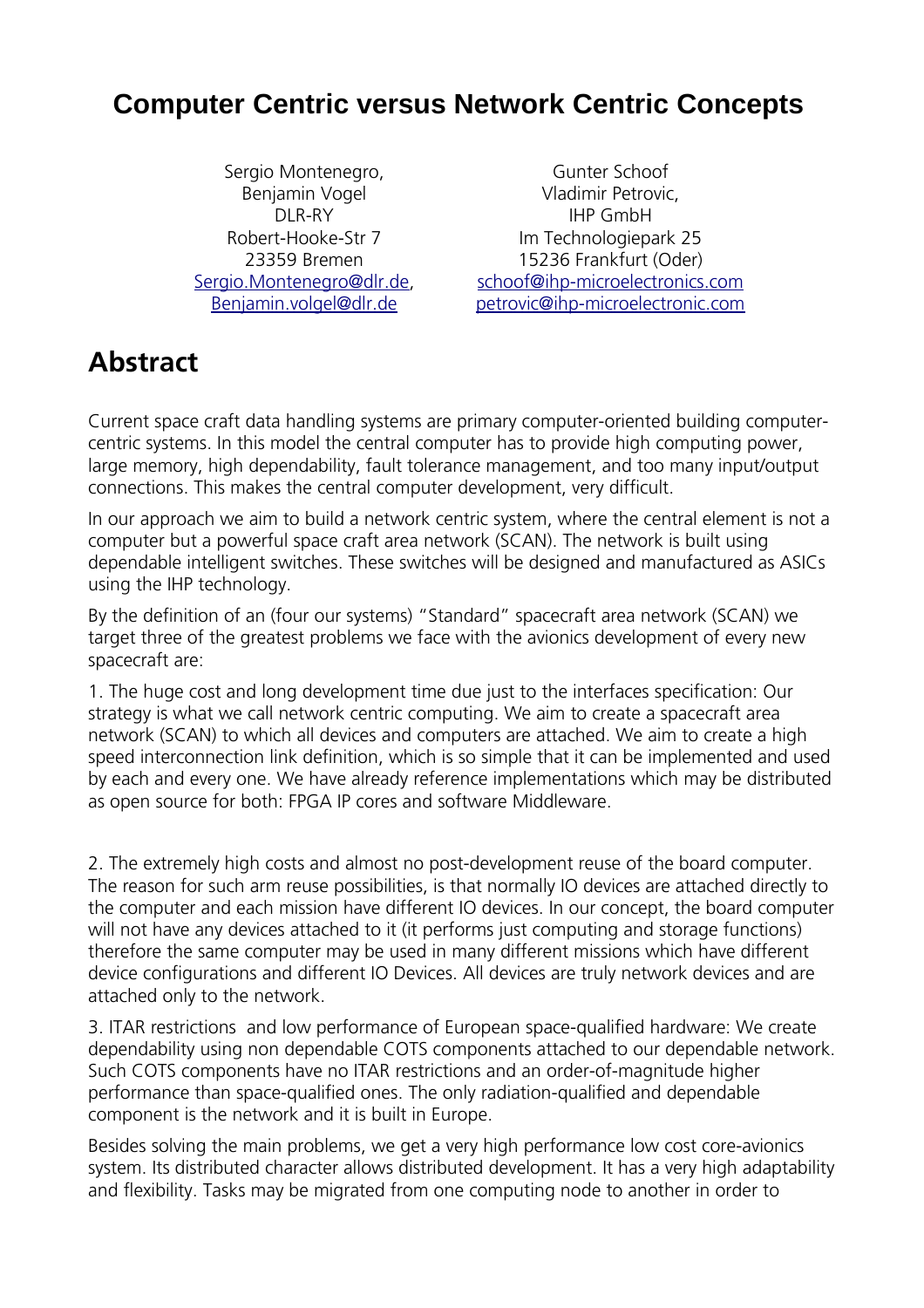### **Computer Centric versus Network Centric Concepts**

Sergio Montenegro, Benjamin Vogel DI R-RY Robert-Hooke-Str 7 23359 Bremen [Sergio.Montenegro@dlr.de,](mailto:Sergio.Montenegro@dlr.de) [Benjamin.volgel@dlr.de](mailto:Benjamin.volgel@dlr.de)

Gunter Schoof Vladimir Petrovic, IHP GmbH Im Technologiepark 25 15236 Frankfurt (Oder) [schoof@ihp-microelectronics.com](mailto:schoof@ihp-microelectronics.com) [petrovic@ihp-microelectronic.com](mailto:petrovic@ihp-microelectronic.com)

# **Abstract**

Current space craft data handling systems are primary computer-oriented building computercentric systems. In this model the central computer has to provide high computing power, large memory, high dependability, fault tolerance management, and too many input/output connections. This makes the central computer development, very difficult.

In our approach we aim to build a network centric system, where the central element is not a computer but a powerful space craft area network (SCAN). The network is built using dependable intelligent switches. These switches will be designed and manufactured as ASICs using the IHP technology.

By the definition of an (four our systems) "Standard" spacecraft area network (SCAN) we target three of the greatest problems we face with the avionics development of every new spacecraft are:

1. The huge cost and long development time due just to the interfaces specification: Our strategy is what we call network centric computing. We aim to create a spacecraft area network (SCAN) to which all devices and computers are attached. We aim to create a high speed interconnection link definition, which is so simple that it can be implemented and used by each and every one. We have already reference implementations which may be distributed as open source for both: FPGA IP cores and software Middleware.

2. The extremely high costs and almost no post-development reuse of the board computer. The reason for such arm reuse possibilities, is that normally IO devices are attached directly to the computer and each mission have different IO devices. In our concept, the board computer will not have any devices attached to it (it performs just computing and storage functions) therefore the same computer may be used in many different missions which have different device configurations and different IO Devices. All devices are truly network devices and are attached only to the network.

3. ITAR restrictions and low performance of European space-qualified hardware: We create dependability using non dependable COTS components attached to our dependable network. Such COTS components have no ITAR restrictions and an order-of-magnitude higher performance than space-qualified ones. The only radiation-qualified and dependable component is the network and it is built in Europe.

Besides solving the main problems, we get a very high performance low cost core-avionics system. Its distributed character allows distributed development. It has a very high adaptability and flexibility. Tasks may be migrated from one computing node to another in order to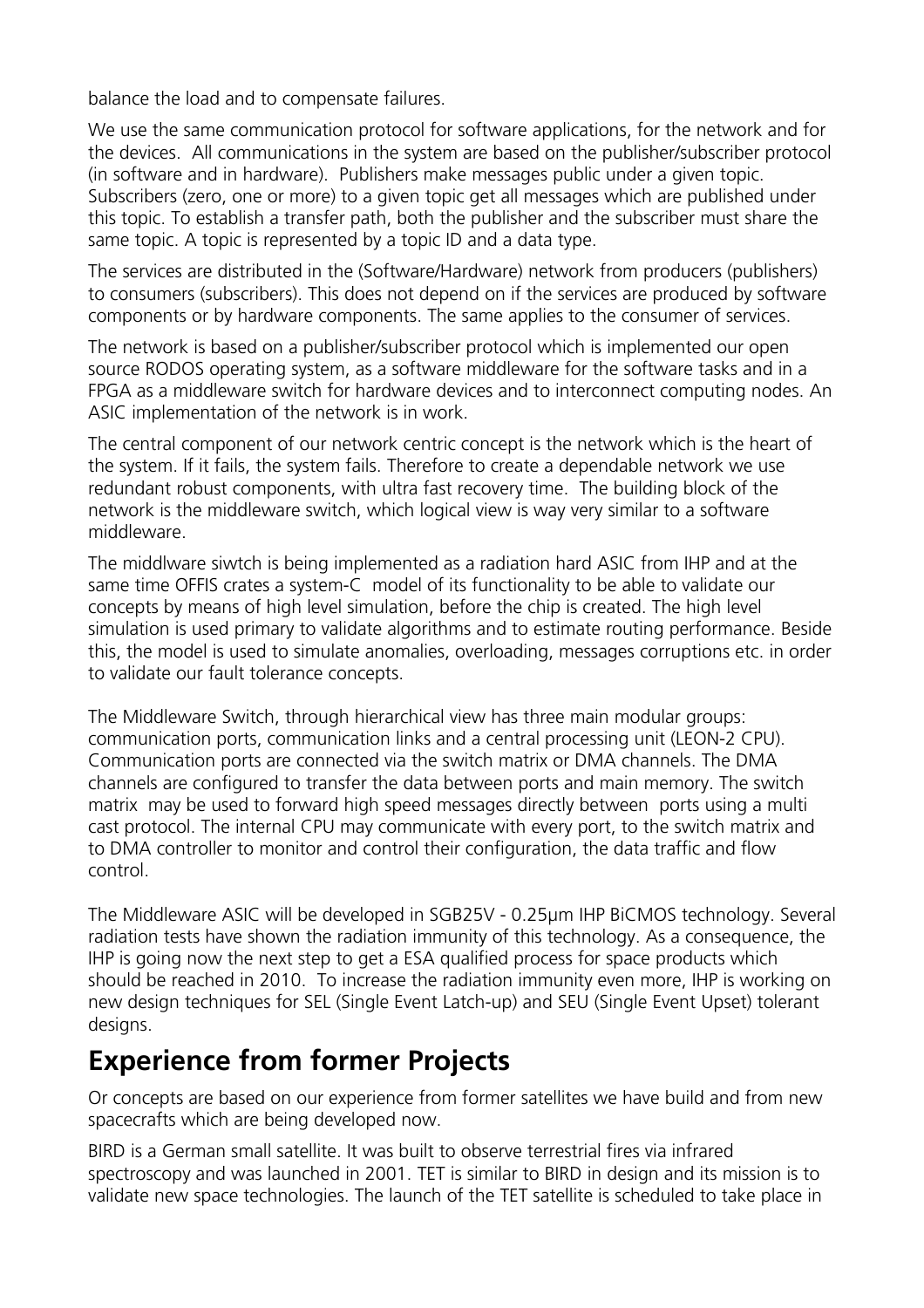balance the load and to compensate failures.

We use the same communication protocol for software applications, for the network and for the devices. All communications in the system are based on the publisher/subscriber protocol (in software and in hardware). Publishers make messages public under a given topic. Subscribers (zero, one or more) to a given topic get all messages which are published under this topic. To establish a transfer path, both the publisher and the subscriber must share the same topic. A topic is represented by a topic ID and a data type.

The services are distributed in the (Software/Hardware) network from producers (publishers) to consumers (subscribers). This does not depend on if the services are produced by software components or by hardware components. The same applies to the consumer of services.

The network is based on a publisher/subscriber protocol which is implemented our open source RODOS operating system, as a software middleware for the software tasks and in a FPGA as a middleware switch for hardware devices and to interconnect computing nodes. An ASIC implementation of the network is in work.

The central component of our network centric concept is the network which is the heart of the system. If it fails, the system fails. Therefore to create a dependable network we use redundant robust components, with ultra fast recovery time. The building block of the network is the middleware switch, which logical view is way very similar to a software middleware.

The middlware siwtch is being implemented as a radiation hard ASIC from IHP and at the same time OFFIS crates a system-C model of its functionality to be able to validate our concepts by means of high level simulation, before the chip is created. The high level simulation is used primary to validate algorithms and to estimate routing performance. Beside this, the model is used to simulate anomalies, overloading, messages corruptions etc. in order to validate our fault tolerance concepts.

The Middleware Switch, through hierarchical view has three main modular groups: communication ports, communication links and a central processing unit (LEON-2 CPU). Communication ports are connected via the switch matrix or DMA channels. The DMA channels are configured to transfer the data between ports and main memory. The switch matrix may be used to forward high speed messages directly between ports using a multi cast protocol. The internal CPU may communicate with every port, to the switch matrix and to DMA controller to monitor and control their configuration, the data traffic and flow control.

The Middleware ASIC will be developed in SGB25V - 0.25µm IHP BiCMOS technology. Several radiation tests have shown the radiation immunity of this technology. As a consequence, the IHP is going now the next step to get a ESA qualified process for space products which should be reached in 2010. To increase the radiation immunity even more, IHP is working on new design techniques for SEL (Single Event Latch-up) and SEU (Single Event Upset) tolerant designs.

## **Experience from former Projects**

Or concepts are based on our experience from former satellites we have build and from new spacecrafts which are being developed now.

BIRD is a German small satellite. It was built to observe terrestrial fires via infrared spectroscopy and was launched in 2001. TET is similar to BIRD in design and its mission is to validate new space technologies. The launch of the TET satellite is scheduled to take place in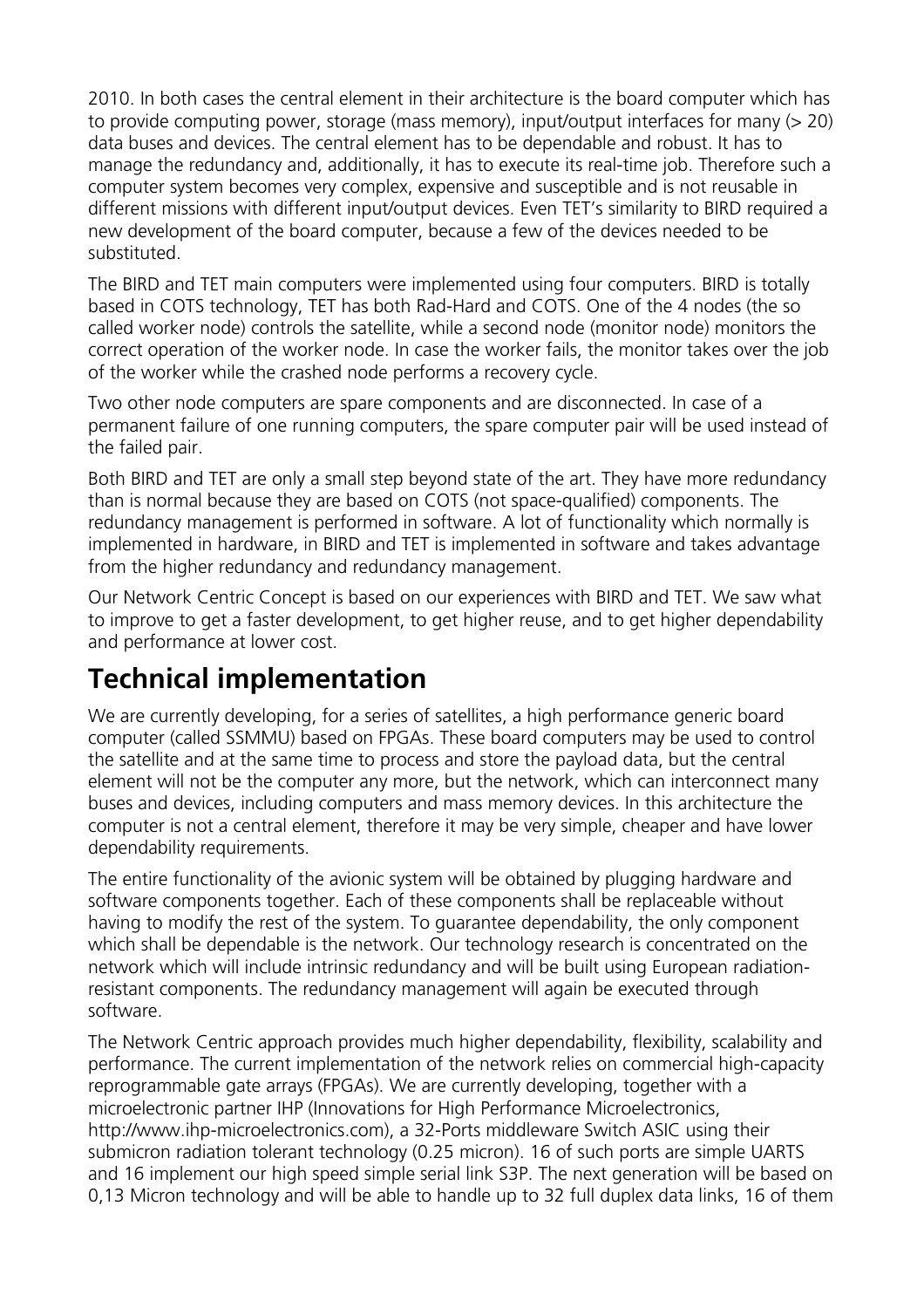2010. In both cases the central element in their architecture is the board computer which has to provide computing power, storage (mass memory), input/output interfaces for many (> 20) data buses and devices. The central element has to be dependable and robust. It has to manage the redundancy and, additionally, it has to execute its real-time job. Therefore such a computer system becomes very complex, expensive and susceptible and is not reusable in different missions with different input/output devices. Even TET's similarity to BIRD required a new development of the board computer, because a few of the devices needed to be substituted.

The BIRD and TET main computers were implemented using four computers. BIRD is totally based in COTS technology, TET has both Rad-Hard and COTS. One of the 4 nodes (the so called worker node) controls the satellite, while a second node (monitor node) monitors the correct operation of the worker node. In case the worker fails, the monitor takes over the job of the worker while the crashed node performs a recovery cycle.

Two other node computers are spare components and are disconnected. In case of a permanent failure of one running computers, the spare computer pair will be used instead of the failed pair.

Both BIRD and TET are only a small step beyond state of the art. They have more redundancy than is normal because they are based on COTS (not space-qualified) components. The redundancy management is performed in software. A lot of functionality which normally is implemented in hardware, in BIRD and TET is implemented in software and takes advantage from the higher redundancy and redundancy management.

Our Network Centric Concept is based on our experiences with BIRD and TET. We saw what to improve to get a faster development, to get higher reuse, and to get higher dependability and performance at lower cost.

## **Technical implementation**

We are currently developing, for a series of satellites, a high performance generic board computer (called SSMMU) based on FPGAs. These board computers may be used to control the satellite and at the same time to process and store the payload data, but the central element will not be the computer any more, but the network, which can interconnect many buses and devices, including computers and mass memory devices. In this architecture the computer is not a central element, therefore it may be very simple, cheaper and have lower dependability requirements.

The entire functionality of the avionic system will be obtained by plugging hardware and software components together. Each of these components shall be replaceable without having to modify the rest of the system. To guarantee dependability, the only component which shall be dependable is the network. Our technology research is concentrated on the network which will include intrinsic redundancy and will be built using European radiationresistant components. The redundancy management will again be executed through software.

The Network Centric approach provides much higher dependability, flexibility, scalability and performance. The current implementation of the network relies on commercial high-capacity reprogrammable gate arrays (FPGAs). We are currently developing, together with a microelectronic partner IHP (Innovations for High Performance Microelectronics, http://www.ihp-microelectronics.com), a 32-Ports middleware Switch ASIC using their submicron radiation tolerant technology (0.25 micron). 16 of such ports are simple UARTS and 16 implement our high speed simple serial link S3P. The next generation will be based on 0,13 Micron technology and will be able to handle up to 32 full duplex data links, 16 of them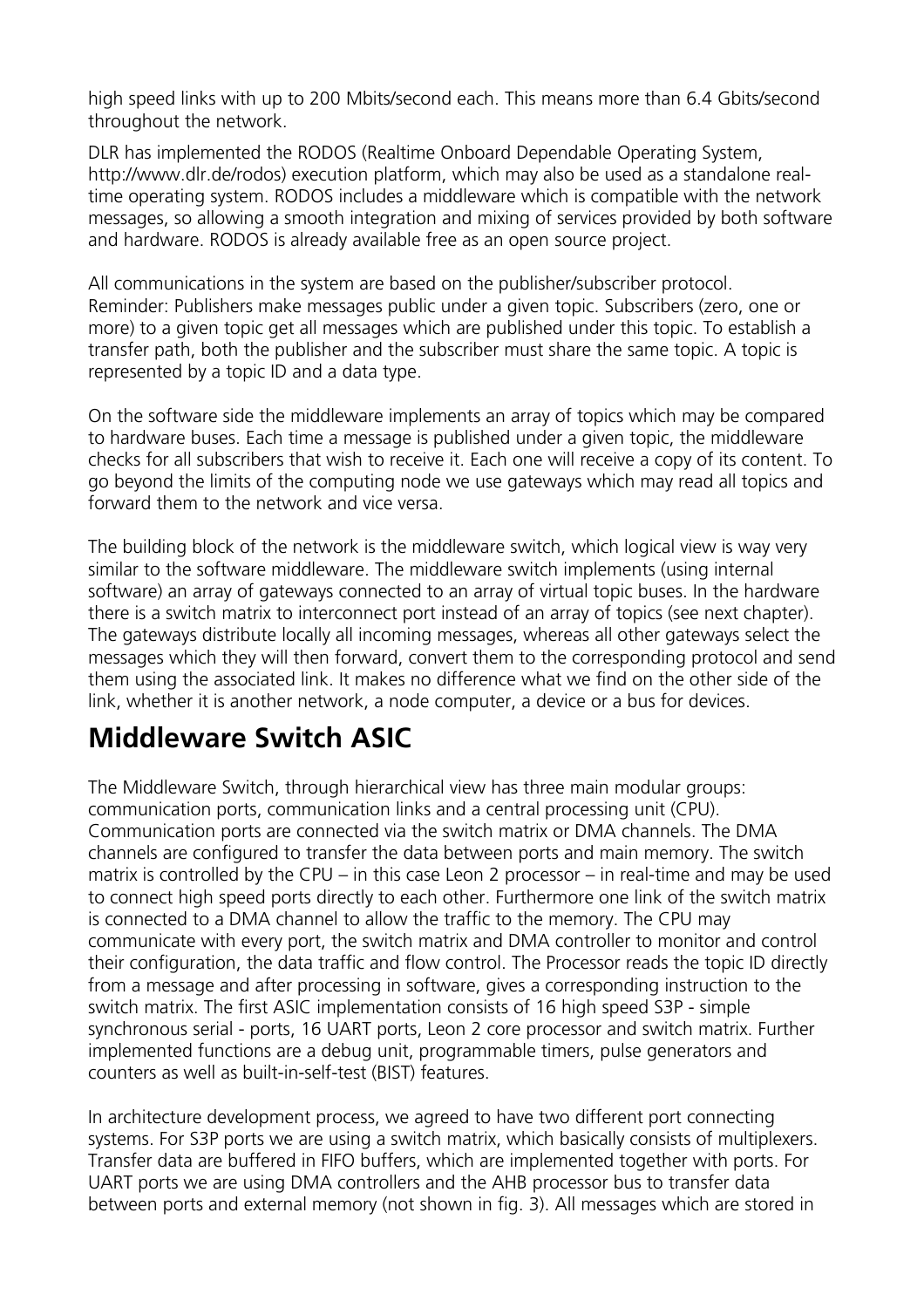high speed links with up to 200 Mbits/second each. This means more than 6.4 Gbits/second throughout the network.

DLR has implemented the RODOS (Realtime Onboard Dependable Operating System, http://www.dlr.de/rodos) execution platform, which may also be used as a standalone realtime operating system. RODOS includes a middleware which is compatible with the network messages, so allowing a smooth integration and mixing of services provided by both software and hardware. RODOS is already available free as an open source project.

All communications in the system are based on the publisher/subscriber protocol. Reminder: Publishers make messages public under a given topic. Subscribers (zero, one or more) to a given topic get all messages which are published under this topic. To establish a transfer path, both the publisher and the subscriber must share the same topic. A topic is represented by a topic ID and a data type.

On the software side the middleware implements an array of topics which may be compared to hardware buses. Each time a message is published under a given topic, the middleware checks for all subscribers that wish to receive it. Each one will receive a copy of its content. To go beyond the limits of the computing node we use gateways which may read all topics and forward them to the network and vice versa.

The building block of the network is the middleware switch, which logical view is way very similar to the software middleware. The middleware switch implements (using internal software) an array of gateways connected to an array of virtual topic buses. In the hardware there is a switch matrix to interconnect port instead of an array of topics (see next chapter). The gateways distribute locally all incoming messages, whereas all other gateways select the messages which they will then forward, convert them to the corresponding protocol and send them using the associated link. It makes no difference what we find on the other side of the link, whether it is another network, a node computer, a device or a bus for devices.

## **Middleware Switch ASIC**

The Middleware Switch, through hierarchical view has three main modular groups: communication ports, communication links and a central processing unit (CPU). Communication ports are connected via the switch matrix or DMA channels. The DMA channels are configured to transfer the data between ports and main memory. The switch matrix is controlled by the CPU – in this case Leon 2 processor – in real-time and may be used to connect high speed ports directly to each other. Furthermore one link of the switch matrix is connected to a DMA channel to allow the traffic to the memory. The CPU may communicate with every port, the switch matrix and DMA controller to monitor and control their configuration, the data traffic and flow control. The Processor reads the topic ID directly from a message and after processing in software, gives a corresponding instruction to the switch matrix. The first ASIC implementation consists of 16 high speed S3P - simple synchronous serial - ports, 16 UART ports, Leon 2 core processor and switch matrix. Further implemented functions are a debug unit, programmable timers, pulse generators and counters as well as built-in-self-test (BIST) features.

In architecture development process, we agreed to have two different port connecting systems. For S3P ports we are using a switch matrix, which basically consists of multiplexers. Transfer data are buffered in FIFO buffers, which are implemented together with ports. For UART ports we are using DMA controllers and the AHB processor bus to transfer data between ports and external memory (not shown in fig. 3). All messages which are stored in